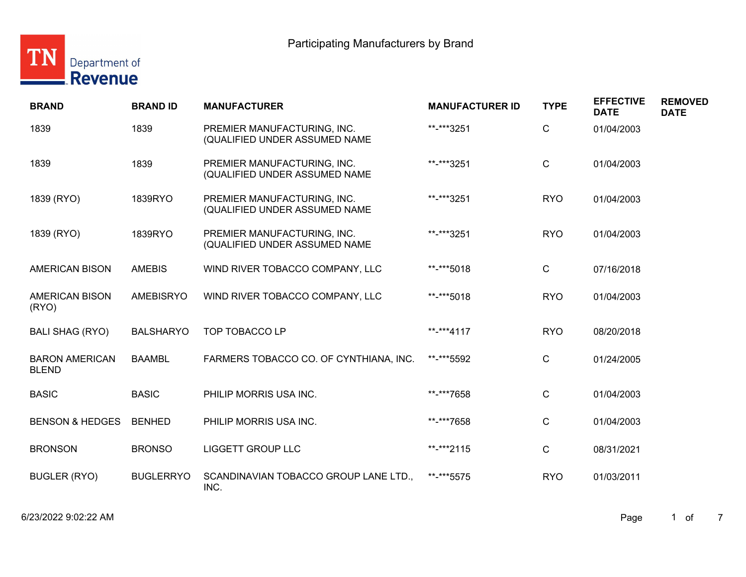

| <b>BRAND</b>                          | <b>BRAND ID</b>  | <b>MANUFACTURER</b>                                          | <b>MANUFACTURER ID</b> | <b>TYPE</b>  | <b>EFFECTIVE</b><br><b>DATE</b> | <b>REMOVED</b><br><b>DATE</b> |
|---------------------------------------|------------------|--------------------------------------------------------------|------------------------|--------------|---------------------------------|-------------------------------|
| 1839                                  | 1839             | PREMIER MANUFACTURING, INC.<br>(QUALIFIED UNDER ASSUMED NAME | **-***3251             | C            | 01/04/2003                      |                               |
| 1839                                  | 1839             | PREMIER MANUFACTURING, INC.<br>(QUALIFIED UNDER ASSUMED NAME | **-***3251             | $\mathsf{C}$ | 01/04/2003                      |                               |
| 1839 (RYO)                            | 1839RYO          | PREMIER MANUFACTURING, INC.<br>(QUALIFIED UNDER ASSUMED NAME | **-***3251             | <b>RYO</b>   | 01/04/2003                      |                               |
| 1839 (RYO)                            | 1839RYO          | PREMIER MANUFACTURING, INC.<br>(QUALIFIED UNDER ASSUMED NAME | **-***3251             | <b>RYO</b>   | 01/04/2003                      |                               |
| <b>AMERICAN BISON</b>                 | <b>AMEBIS</b>    | WIND RIVER TOBACCO COMPANY, LLC                              | **-***5018             | C.           | 07/16/2018                      |                               |
| <b>AMERICAN BISON</b><br>(RYO)        | <b>AMEBISRYO</b> | WIND RIVER TOBACCO COMPANY, LLC                              | **-***5018             | <b>RYO</b>   | 01/04/2003                      |                               |
| <b>BALI SHAG (RYO)</b>                | <b>BALSHARYO</b> | TOP TOBACCO LP                                               | **-***4117             | <b>RYO</b>   | 08/20/2018                      |                               |
| <b>BARON AMERICAN</b><br><b>BLEND</b> | <b>BAAMBL</b>    | FARMERS TOBACCO CO. OF CYNTHIANA, INC.                       | **-***5592             | C            | 01/24/2005                      |                               |
| <b>BASIC</b>                          | <b>BASIC</b>     | PHILIP MORRIS USA INC.                                       | **-***7658             | C            | 01/04/2003                      |                               |
| <b>BENSON &amp; HEDGES</b>            | <b>BENHED</b>    | PHILIP MORRIS USA INC.                                       | **-***7658             | C.           | 01/04/2003                      |                               |
| <b>BRONSON</b>                        | <b>BRONSO</b>    | <b>LIGGETT GROUP LLC</b>                                     | **-***2115             | C.           | 08/31/2021                      |                               |
| <b>BUGLER (RYO)</b>                   | <b>BUGLERRYO</b> | SCANDINAVIAN TOBACCO GROUP LANE LTD.,<br>INC.                | **-***5575             | <b>RYO</b>   | 01/03/2011                      |                               |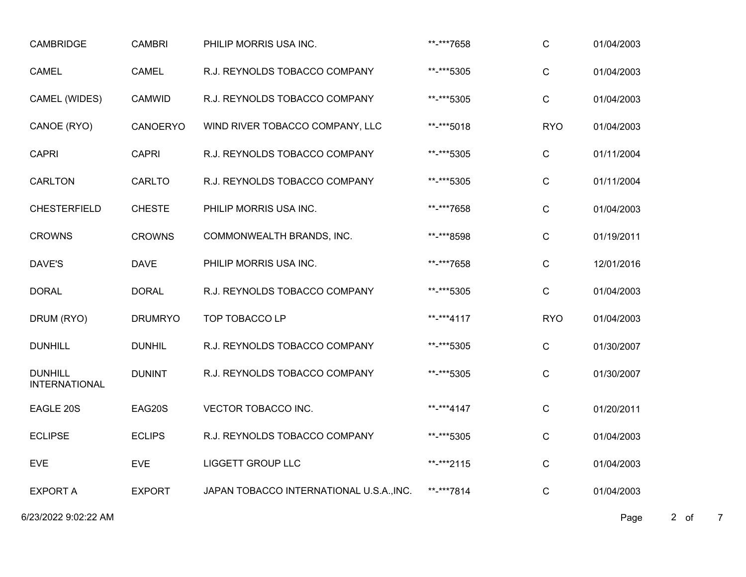| <b>CAMBRIDGE</b>                       | <b>CAMBRI</b>  | PHILIP MORRIS USA INC.                   | **-***7658 | $\mathsf{C}$ | 01/04/2003 |
|----------------------------------------|----------------|------------------------------------------|------------|--------------|------------|
| <b>CAMEL</b>                           | <b>CAMEL</b>   | R.J. REYNOLDS TOBACCO COMPANY            | **-***5305 | C            | 01/04/2003 |
| CAMEL (WIDES)                          | <b>CAMWID</b>  | R.J. REYNOLDS TOBACCO COMPANY            | **-***5305 | $\mathsf C$  | 01/04/2003 |
| CANOE (RYO)                            | CANOERYO       | WIND RIVER TOBACCO COMPANY, LLC          | **-***5018 | <b>RYO</b>   | 01/04/2003 |
| <b>CAPRI</b>                           | <b>CAPRI</b>   | R.J. REYNOLDS TOBACCO COMPANY            | **-***5305 | $\mathsf C$  | 01/11/2004 |
| <b>CARLTON</b>                         | CARLTO         | R.J. REYNOLDS TOBACCO COMPANY            | **-***5305 | $\mathsf{C}$ | 01/11/2004 |
| <b>CHESTERFIELD</b>                    | <b>CHESTE</b>  | PHILIP MORRIS USA INC.                   | **-***7658 | $\mathsf{C}$ | 01/04/2003 |
| <b>CROWNS</b>                          | <b>CROWNS</b>  | COMMONWEALTH BRANDS, INC.                | **-***8598 | $\mathsf C$  | 01/19/2011 |
| DAVE'S                                 | <b>DAVE</b>    | PHILIP MORRIS USA INC.                   | **-***7658 | $\mathsf C$  | 12/01/2016 |
| <b>DORAL</b>                           | <b>DORAL</b>   | R.J. REYNOLDS TOBACCO COMPANY            | **-***5305 | $\mathsf{C}$ | 01/04/2003 |
| DRUM (RYO)                             | <b>DRUMRYO</b> | TOP TOBACCO LP                           | **-***4117 | <b>RYO</b>   | 01/04/2003 |
| <b>DUNHILL</b>                         | <b>DUNHIL</b>  | R.J. REYNOLDS TOBACCO COMPANY            | **-***5305 | C            | 01/30/2007 |
| <b>DUNHILL</b><br><b>INTERNATIONAL</b> | <b>DUNINT</b>  | R.J. REYNOLDS TOBACCO COMPANY            | **-***5305 | $\mathsf C$  | 01/30/2007 |
| EAGLE 20S                              | EAG20S         | VECTOR TOBACCO INC.                      | **-***4147 | $\mathsf C$  | 01/20/2011 |
| <b>ECLIPSE</b>                         | <b>ECLIPS</b>  | R.J. REYNOLDS TOBACCO COMPANY            | **-***5305 | $\mathbf C$  | 01/04/2003 |
| <b>EVE</b>                             | <b>EVE</b>     | <b>LIGGETT GROUP LLC</b>                 | **-***2115 | $\mathsf{C}$ | 01/04/2003 |
| <b>EXPORT A</b>                        | <b>EXPORT</b>  | JAPAN TOBACCO INTERNATIONAL U.S.A., INC. | **-***7814 | $\mathsf{C}$ | 01/04/2003 |

6/23/2022 9:02:22 AM Page 2 of 7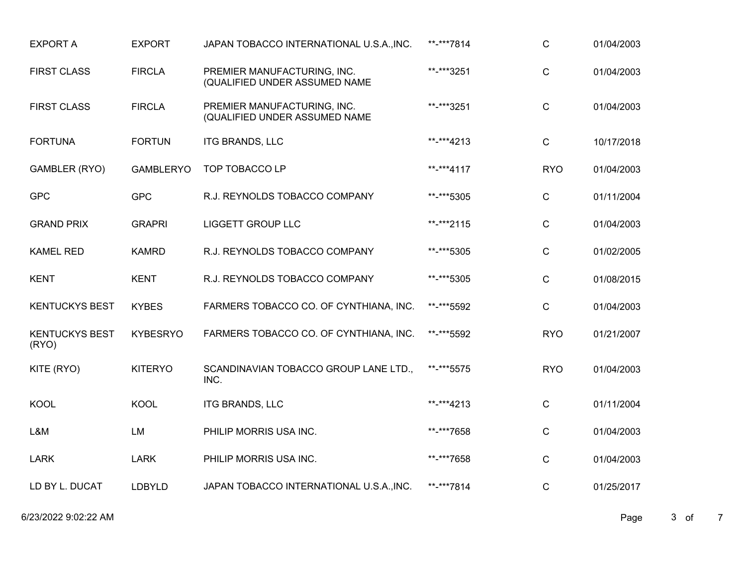| <b>EXPORT A</b>                | <b>EXPORT</b>    | JAPAN TOBACCO INTERNATIONAL U.S.A., INC.                     | **-***7814 | $\mathsf C$  | 01/04/2003 |
|--------------------------------|------------------|--------------------------------------------------------------|------------|--------------|------------|
| <b>FIRST CLASS</b>             | <b>FIRCLA</b>    | PREMIER MANUFACTURING, INC.<br>(QUALIFIED UNDER ASSUMED NAME | **-***3251 | $\mathsf C$  | 01/04/2003 |
| <b>FIRST CLASS</b>             | <b>FIRCLA</b>    | PREMIER MANUFACTURING, INC.<br>(QUALIFIED UNDER ASSUMED NAME | **-***3251 | $\mathsf{C}$ | 01/04/2003 |
| <b>FORTUNA</b>                 | <b>FORTUN</b>    | <b>ITG BRANDS, LLC</b>                                       | **-***4213 | $\mathsf{C}$ | 10/17/2018 |
| GAMBLER (RYO)                  | <b>GAMBLERYO</b> | <b>TOP TOBACCO LP</b>                                        | **-***4117 | <b>RYO</b>   | 01/04/2003 |
| <b>GPC</b>                     | <b>GPC</b>       | R.J. REYNOLDS TOBACCO COMPANY                                | **-***5305 | $\mathsf{C}$ | 01/11/2004 |
| <b>GRAND PRIX</b>              | <b>GRAPRI</b>    | <b>LIGGETT GROUP LLC</b>                                     | **-***2115 | $\mathbf C$  | 01/04/2003 |
| <b>KAMEL RED</b>               | <b>KAMRD</b>     | R.J. REYNOLDS TOBACCO COMPANY                                | **-***5305 | $\mathsf{C}$ | 01/02/2005 |
| <b>KENT</b>                    | <b>KENT</b>      | R.J. REYNOLDS TOBACCO COMPANY                                | **-***5305 | $\mathsf{C}$ | 01/08/2015 |
| <b>KENTUCKYS BEST</b>          | <b>KYBES</b>     | FARMERS TOBACCO CO. OF CYNTHIANA, INC.                       | **-***5592 | $\mathsf{C}$ | 01/04/2003 |
| <b>KENTUCKYS BEST</b><br>(RYO) | <b>KYBESRYO</b>  | FARMERS TOBACCO CO. OF CYNTHIANA, INC.                       | **-***5592 | <b>RYO</b>   | 01/21/2007 |
| KITE (RYO)                     | <b>KITERYO</b>   | SCANDINAVIAN TOBACCO GROUP LANE LTD.,<br>INC.                | **-***5575 | <b>RYO</b>   | 01/04/2003 |
| <b>KOOL</b>                    | <b>KOOL</b>      | <b>ITG BRANDS, LLC</b>                                       | **-***4213 | $\mathsf C$  | 01/11/2004 |
| L&M                            | <b>LM</b>        | PHILIP MORRIS USA INC.                                       | **-***7658 | $\mathsf{C}$ | 01/04/2003 |
| <b>LARK</b>                    | <b>LARK</b>      | PHILIP MORRIS USA INC.                                       | **-***7658 | $\mathsf C$  | 01/04/2003 |
| LD BY L. DUCAT                 | LDBYLD           | JAPAN TOBACCO INTERNATIONAL U.S.A., INC.                     | **-***7814 | $\mathsf{C}$ | 01/25/2017 |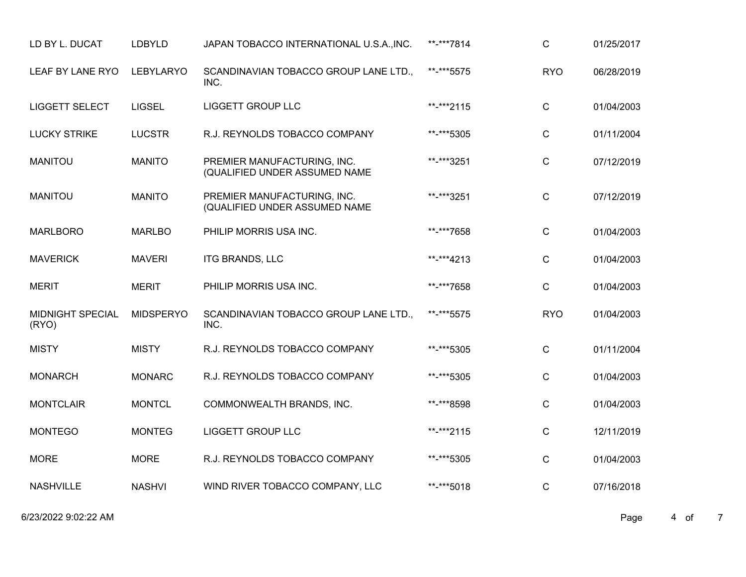| LD BY L. DUCAT                   | <b>LDBYLD</b>    | JAPAN TOBACCO INTERNATIONAL U.S.A., INC.                     | **-***7814 | C            | 01/25/2017 |
|----------------------------------|------------------|--------------------------------------------------------------|------------|--------------|------------|
| LEAF BY LANE RYO                 | <b>LEBYLARYO</b> | SCANDINAVIAN TOBACCO GROUP LANE LTD.,<br>INC.                | **-***5575 | <b>RYO</b>   | 06/28/2019 |
| <b>LIGGETT SELECT</b>            | <b>LIGSEL</b>    | <b>LIGGETT GROUP LLC</b>                                     | **-***2115 | $\mathsf{C}$ | 01/04/2003 |
| <b>LUCKY STRIKE</b>              | <b>LUCSTR</b>    | R.J. REYNOLDS TOBACCO COMPANY                                | **-***5305 | $\mathsf C$  | 01/11/2004 |
| <b>MANITOU</b>                   | <b>MANITO</b>    | PREMIER MANUFACTURING, INC.<br>(QUALIFIED UNDER ASSUMED NAME | **-***3251 | $\mathsf C$  | 07/12/2019 |
| <b>MANITOU</b>                   | <b>MANITO</b>    | PREMIER MANUFACTURING, INC.<br>(QUALIFIED UNDER ASSUMED NAME | **-***3251 | $\mathsf{C}$ | 07/12/2019 |
| <b>MARLBORO</b>                  | <b>MARLBO</b>    | PHILIP MORRIS USA INC.                                       | **-***7658 | $\mathbf C$  | 01/04/2003 |
| <b>MAVERICK</b>                  | <b>MAVERI</b>    | <b>ITG BRANDS, LLC</b>                                       | **-***4213 | C            | 01/04/2003 |
| <b>MERIT</b>                     | <b>MERIT</b>     | PHILIP MORRIS USA INC.                                       | **-***7658 | $\mathsf{C}$ | 01/04/2003 |
| <b>MIDNIGHT SPECIAL</b><br>(RYO) | <b>MIDSPERYO</b> | SCANDINAVIAN TOBACCO GROUP LANE LTD.,<br>INC.                | **-***5575 | <b>RYO</b>   | 01/04/2003 |
| <b>MISTY</b>                     | <b>MISTY</b>     | R.J. REYNOLDS TOBACCO COMPANY                                | **-***5305 | $\mathsf{C}$ | 01/11/2004 |
| <b>MONARCH</b>                   | <b>MONARC</b>    | R.J. REYNOLDS TOBACCO COMPANY                                | **-***5305 | C            | 01/04/2003 |
| <b>MONTCLAIR</b>                 | <b>MONTCL</b>    | COMMONWEALTH BRANDS, INC.                                    | **-***8598 | $\mathsf C$  | 01/04/2003 |
| <b>MONTEGO</b>                   | <b>MONTEG</b>    | <b>LIGGETT GROUP LLC</b>                                     | **-***2115 | $\mathsf{C}$ | 12/11/2019 |
| <b>MORE</b>                      | <b>MORE</b>      | R.J. REYNOLDS TOBACCO COMPANY                                | **-***5305 | $\mathsf{C}$ | 01/04/2003 |
| <b>NASHVILLE</b>                 | <b>NASHVI</b>    | WIND RIVER TOBACCO COMPANY, LLC                              | **-***5018 | C            | 07/16/2018 |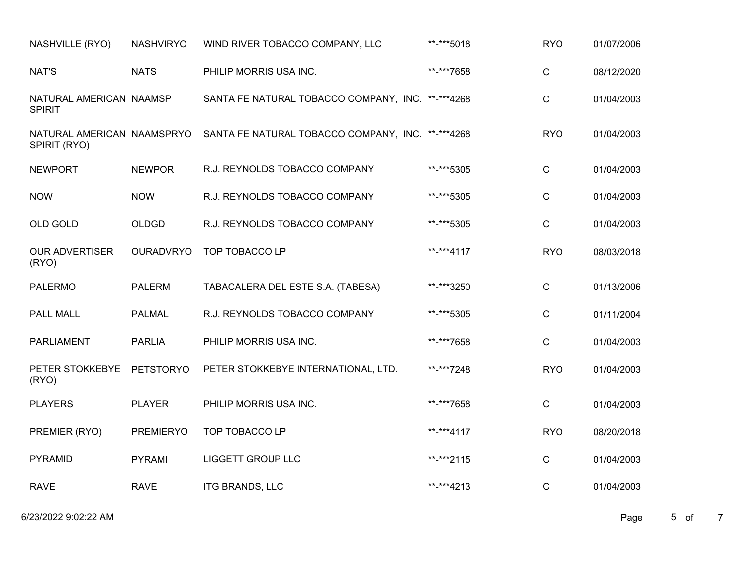| NASHVILLE (RYO)                          | <b>NASHVIRYO</b> | WIND RIVER TOBACCO COMPANY, LLC                                              | **-***5018 | <b>RYO</b>   | 01/07/2006 |
|------------------------------------------|------------------|------------------------------------------------------------------------------|------------|--------------|------------|
| NAT'S                                    | <b>NATS</b>      | PHILIP MORRIS USA INC.                                                       | **-***7658 | $\mathsf{C}$ | 08/12/2020 |
| NATURAL AMERICAN NAAMSP<br><b>SPIRIT</b> |                  | SANTA FE NATURAL TOBACCO COMPANY, INC. **-***4268                            |            | $\mathsf{C}$ | 01/04/2003 |
| SPIRIT (RYO)                             |                  | NATURAL AMERICAN NAAMSPRYO SANTA FE NATURAL TOBACCO COMPANY, INC. **-***4268 |            | <b>RYO</b>   | 01/04/2003 |
| <b>NEWPORT</b>                           | <b>NEWPOR</b>    | R.J. REYNOLDS TOBACCO COMPANY                                                | **-***5305 | $\mathsf{C}$ | 01/04/2003 |
| <b>NOW</b>                               | <b>NOW</b>       | R.J. REYNOLDS TOBACCO COMPANY                                                | **-***5305 | $\mathbf C$  | 01/04/2003 |
| OLD GOLD                                 | <b>OLDGD</b>     | R.J. REYNOLDS TOBACCO COMPANY                                                | **-***5305 | $\mathbf C$  | 01/04/2003 |
| <b>OUR ADVERTISER</b><br>(RYO)           | <b>OURADVRYO</b> | TOP TOBACCO LP                                                               | **-***4117 | <b>RYO</b>   | 08/03/2018 |
| <b>PALERMO</b>                           | <b>PALERM</b>    | TABACALERA DEL ESTE S.A. (TABESA)                                            | **-***3250 | $\mathsf{C}$ | 01/13/2006 |
| PALL MALL                                | <b>PALMAL</b>    | R.J. REYNOLDS TOBACCO COMPANY                                                | **-***5305 | $\mathsf{C}$ | 01/11/2004 |
| <b>PARLIAMENT</b>                        | <b>PARLIA</b>    | PHILIP MORRIS USA INC.                                                       | **-***7658 | $\mathsf{C}$ | 01/04/2003 |
| PETER STOKKEBYE<br>(RYO)                 | PETSTORYO        | PETER STOKKEBYE INTERNATIONAL, LTD.                                          | **-***7248 | <b>RYO</b>   | 01/04/2003 |
| <b>PLAYERS</b>                           | <b>PLAYER</b>    | PHILIP MORRIS USA INC.                                                       | **-***7658 | $\mathsf{C}$ | 01/04/2003 |
| PREMIER (RYO)                            | <b>PREMIERYO</b> | TOP TOBACCO LP                                                               | **-***4117 | <b>RYO</b>   | 08/20/2018 |
| <b>PYRAMID</b>                           | <b>PYRAMI</b>    | <b>LIGGETT GROUP LLC</b>                                                     | **-***2115 | $\mathsf C$  | 01/04/2003 |
| <b>RAVE</b>                              | <b>RAVE</b>      | <b>ITG BRANDS, LLC</b>                                                       | **-***4213 | $\mathsf{C}$ | 01/04/2003 |

6/23/2022 9:02:22 AM Page 5 of 7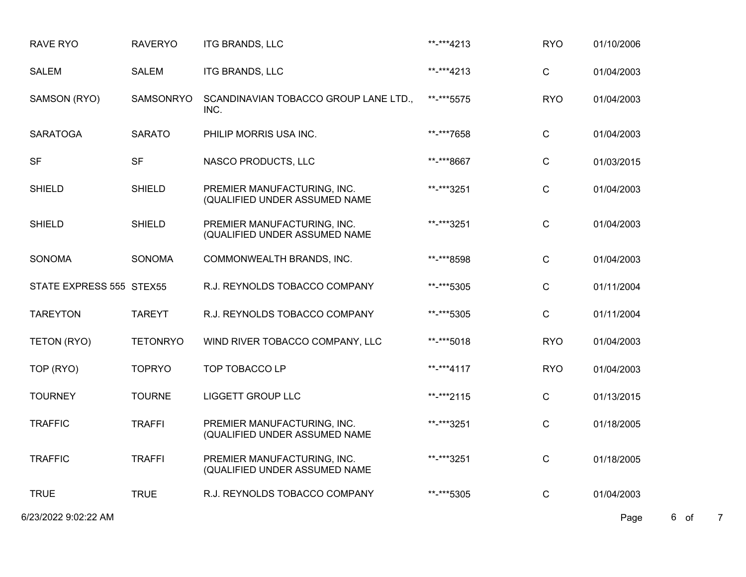| <b>RAVE RYO</b>          | <b>RAVERYO</b>  | ITG BRANDS, LLC                                              | **-***4213 | <b>RYO</b>   | 01/10/2006                     |
|--------------------------|-----------------|--------------------------------------------------------------|------------|--------------|--------------------------------|
| <b>SALEM</b>             | <b>SALEM</b>    | <b>ITG BRANDS, LLC</b>                                       | **-***4213 | $\mathsf C$  | 01/04/2003                     |
| SAMSON (RYO)             | SAMSONRYO       | SCANDINAVIAN TOBACCO GROUP LANE LTD.,<br>INC.                | **-***5575 | <b>RYO</b>   | 01/04/2003                     |
| <b>SARATOGA</b>          | <b>SARATO</b>   | PHILIP MORRIS USA INC.                                       | **-***7658 | $\mathsf{C}$ | 01/04/2003                     |
| <b>SF</b>                | <b>SF</b>       | NASCO PRODUCTS, LLC                                          | **-***8667 | $\mathsf{C}$ | 01/03/2015                     |
| <b>SHIELD</b>            | <b>SHIELD</b>   | PREMIER MANUFACTURING, INC.<br>(QUALIFIED UNDER ASSUMED NAME | **-***3251 | $\mathsf C$  | 01/04/2003                     |
| <b>SHIELD</b>            | <b>SHIELD</b>   | PREMIER MANUFACTURING, INC.<br>(QUALIFIED UNDER ASSUMED NAME | **-***3251 | $\mathsf C$  | 01/04/2003                     |
| <b>SONOMA</b>            | <b>SONOMA</b>   | COMMONWEALTH BRANDS, INC.                                    | **-***8598 | $\mathsf C$  | 01/04/2003                     |
| STATE EXPRESS 555 STEX55 |                 | R.J. REYNOLDS TOBACCO COMPANY                                | **-***5305 | $\mathsf C$  | 01/11/2004                     |
| <b>TAREYTON</b>          | <b>TAREYT</b>   | R.J. REYNOLDS TOBACCO COMPANY                                | **-***5305 | $\mathsf{C}$ | 01/11/2004                     |
| TETON (RYO)              | <b>TETONRYO</b> | WIND RIVER TOBACCO COMPANY, LLC                              | **-***5018 | <b>RYO</b>   | 01/04/2003                     |
| TOP (RYO)                | <b>TOPRYO</b>   | TOP TOBACCO LP                                               | **-***4117 | <b>RYO</b>   | 01/04/2003                     |
| <b>TOURNEY</b>           | <b>TOURNE</b>   | <b>LIGGETT GROUP LLC</b>                                     | **-***2115 | $\mathsf{C}$ | 01/13/2015                     |
| <b>TRAFFIC</b>           | <b>TRAFFI</b>   | PREMIER MANUFACTURING, INC.<br>(QUALIFIED UNDER ASSUMED NAME | **-***3251 | C            | 01/18/2005                     |
| <b>TRAFFIC</b>           | <b>TRAFFI</b>   | PREMIER MANUFACTURING, INC.<br>(QUALIFIED UNDER ASSUMED NAME | **-***3251 | $\mathsf C$  | 01/18/2005                     |
| <b>TRUE</b>              | <b>TRUE</b>     | R.J. REYNOLDS TOBACCO COMPANY                                | **-***5305 | $\mathsf C$  | 01/04/2003                     |
| 6/23/2022 9:02:22 AM     |                 |                                                              |            |              | 6 of<br>$\overline{7}$<br>Page |